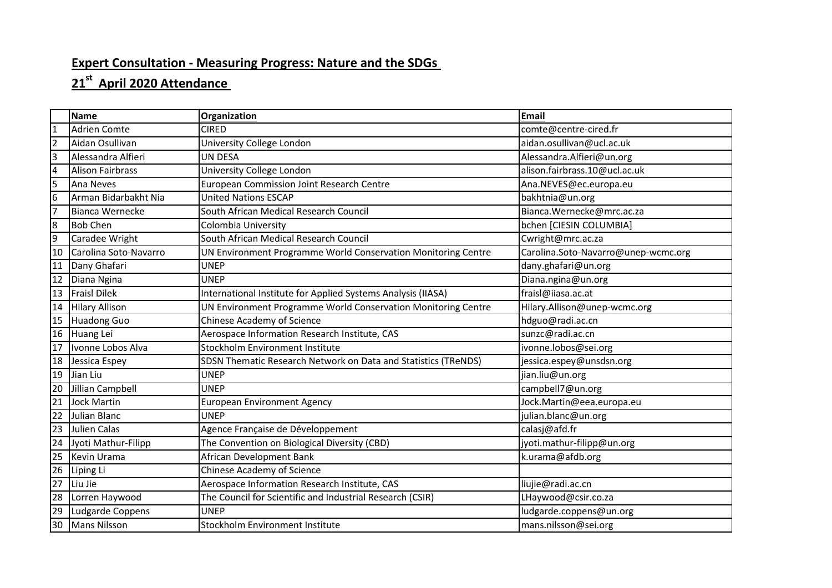## **Expert Consultation - Measuring Progress: Nature and the SDGs**

## **st April 2020 Attendance**

|                         | <b>Name</b>             | Organization                                                   | <b>Email</b>                        |
|-------------------------|-------------------------|----------------------------------------------------------------|-------------------------------------|
| $\vert$ 1               | <b>Adrien Comte</b>     | <b>CIRED</b>                                                   | comte@centre-cired.fr               |
| $\overline{2}$          | Aidan Osullivan         | University College London                                      | aidan.osullivan@ucl.ac.uk           |
| $\overline{\mathbf{3}}$ | Alessandra Alfieri      | UN DESA                                                        | Alessandra.Alfieri@un.org           |
| $\overline{a}$          | <b>Alison Fairbrass</b> | University College London                                      | alison.fairbrass.10@ucl.ac.uk       |
| 5                       | Ana Neves               | European Commission Joint Research Centre                      | Ana.NEVES@ec.europa.eu              |
| 6                       | Arman Bidarbakht Nia    | <b>United Nations ESCAP</b>                                    | bakhtnia@un.org                     |
| $\overline{7}$          | <b>Bianca Wernecke</b>  | South African Medical Research Council                         | Bianca.Wernecke@mrc.ac.za           |
| 8                       | <b>Bob Chen</b>         | Colombia University                                            | bchen [CIESIN COLUMBIA]             |
| 9                       | Caradee Wright          | South African Medical Research Council                         | Cwright@mrc.ac.za                   |
| 10                      | Carolina Soto-Navarro   | UN Environment Programme World Conservation Monitoring Centre  | Carolina.Soto-Navarro@unep-wcmc.org |
| 11                      | Dany Ghafari            | <b>UNEP</b>                                                    | dany.ghafari@un.org                 |
| 12                      | Diana Ngina             | <b>UNEP</b>                                                    | Diana.ngina@un.org                  |
| 13                      | <b>Fraisl Dilek</b>     | International Institute for Applied Systems Analysis (IIASA)   | fraisl@iiasa.ac.at                  |
| 14                      | <b>Hilary Allison</b>   | UN Environment Programme World Conservation Monitoring Centre  | Hilary.Allison@unep-wcmc.org        |
| 15                      | <b>Huadong Guo</b>      | Chinese Academy of Science                                     | hdguo@radi.ac.cn                    |
| 16                      | Huang Lei               | Aerospace Information Research Institute, CAS                  | sunzc@radi.ac.cn                    |
| 17                      | Ivonne Lobos Alva       | Stockholm Environment Institute                                | ivonne.lobos@sei.org                |
| 18                      | Jessica Espey           | SDSN Thematic Research Network on Data and Statistics (TReNDS) | jessica.espey@unsdsn.org            |
| 19                      | Jian Liu                | <b>UNEP</b>                                                    | jian.liu@un.org                     |
| 20                      | Jillian Campbell        | <b>UNEP</b>                                                    | campbell7@un.org                    |
| 21                      | <b>Jock Martin</b>      | <b>European Environment Agency</b>                             | Jock.Martin@eea.europa.eu           |
| $\overline{22}$         | <b>Julian Blanc</b>     | <b>UNEP</b>                                                    | julian.blanc@un.org                 |
| 23                      | <b>Julien Calas</b>     | Agence Française de Développement                              | calasj@afd.fr                       |
| 24                      | Jyoti Mathur-Filipp     | The Convention on Biological Diversity (CBD)                   | jyoti.mathur-filipp@un.org          |
| 25                      | Kevin Urama             | African Development Bank                                       | k.urama@afdb.org                    |
| 26                      | Liping Li               | Chinese Academy of Science                                     |                                     |
| 27                      | Liu Jie                 | Aerospace Information Research Institute, CAS                  | liujie@radi.ac.cn                   |
| 28                      | Lorren Haywood          | The Council for Scientific and Industrial Research (CSIR)      | LHaywood@csir.co.za                 |
| 29                      | Ludgarde Coppens        | <b>UNEP</b>                                                    | ludgarde.coppens@un.org             |
| 30                      | <b>Mans Nilsson</b>     | Stockholm Environment Institute                                | mans.nilsson@sei.org                |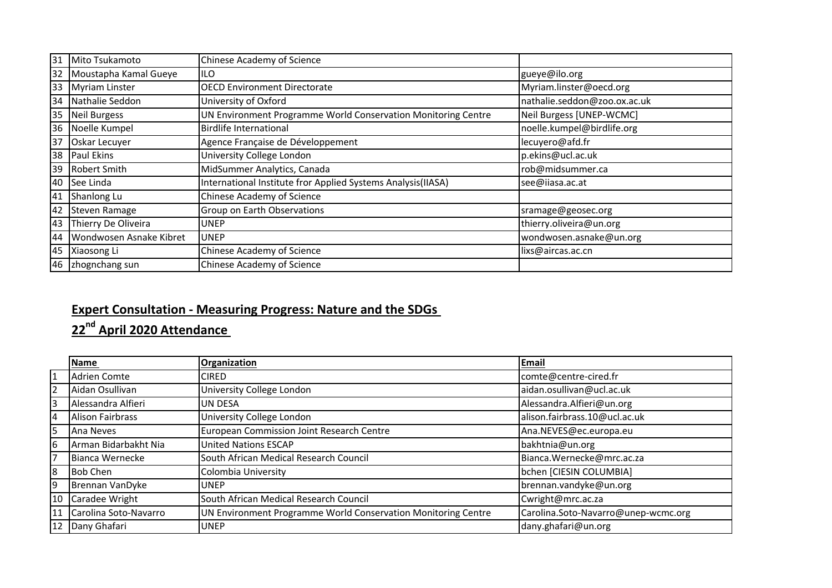| 31 | Mito Tsukamoto          | Chinese Academy of Science                                    |                              |
|----|-------------------------|---------------------------------------------------------------|------------------------------|
| 32 | Moustapha Kamal Gueye   | ILO                                                           | gueye@ilo.org                |
| 33 | <b>Myriam Linster</b>   | <b>OECD Environment Directorate</b>                           | Myriam.linster@oecd.org      |
| 34 | Nathalie Seddon         | University of Oxford                                          | nathalie.seddon@zoo.ox.ac.uk |
| 35 | Neil Burgess            | UN Environment Programme World Conservation Monitoring Centre | Neil Burgess [UNEP-WCMC]     |
|    | 36 Noelle Kumpel        | <b>Birdlife International</b>                                 | noelle.kumpel@birdlife.org   |
| 37 | Oskar Lecuyer           | Agence Française de Développement                             | lecuyero@afd.fr              |
|    | 38 Paul Ekins           | University College London                                     | p.ekins@ucl.ac.uk            |
|    | 39 Robert Smith         | MidSummer Analytics, Canada                                   | rob@midsummer.ca             |
|    | 40 See Linda            | International Institute fror Applied Systems Analysis(IIASA)  | see@iiasa.ac.at              |
| 41 | Shanlong Lu             | Chinese Academy of Science                                    |                              |
| 42 | Steven Ramage           | Group on Earth Observations                                   | sramage@geosec.org           |
| 43 | Thierry De Oliveira     | <b>UNEP</b>                                                   | thierry.oliveira@un.org      |
| 44 | Wondwosen Asnake Kibret | <b>UNEP</b>                                                   | wondwosen.asnake@un.org      |
| 45 | Xiaosong Li             | Chinese Academy of Science                                    | lixs@aircas.ac.cn            |
|    | 46 zhognchang sun       | Chinese Academy of Science                                    |                              |

## **Expert Consultation - Measuring Progress: Nature and the SDGs**

**nd April 2020 Attendance** 

|                | <b>Name</b>           | Organization                                                  | Email                               |
|----------------|-----------------------|---------------------------------------------------------------|-------------------------------------|
| $\overline{1}$ | <b>Adrien Comte</b>   | CIRED                                                         | comte@centre-cired.fr               |
| $\overline{2}$ | Aidan Osullivan       | University College London                                     | aidan.osullivan@ucl.ac.uk           |
| 3              | Alessandra Alfieri    | UN DESA                                                       | Alessandra.Alfieri@un.org           |
| $\overline{4}$ | Alison Fairbrass      | University College London                                     | alison.fairbrass.10@ucl.ac.uk       |
| 5              | <b>JAna Neves</b>     | European Commission Joint Research Centre                     | Ana.NEVES@ec.europa.eu              |
| 6              | Arman Bidarbakht Nia  | <b>United Nations ESCAP</b>                                   | bakhtnia@un.org                     |
| $\overline{7}$ | Bianca Wernecke       | South African Medical Research Council                        | Bianca.Wernecke@mrc.ac.za           |
| 8              | <b>Bob Chen</b>       | Colombia University                                           | bchen [CIESIN COLUMBIA]             |
| $\overline{9}$ | Brennan VanDyke       | UNEP                                                          | brennan.vandyke@un.org              |
| 10             | Caradee Wright        | South African Medical Research Council                        | Cwright@mrc.ac.za                   |
| 11             | Carolina Soto-Navarro | UN Environment Programme World Conservation Monitoring Centre | Carolina.Soto-Navarro@unep-wcmc.org |
|                | 12 Dany Ghafari       | <b>UNEP</b>                                                   | dany.ghafari@un.org                 |